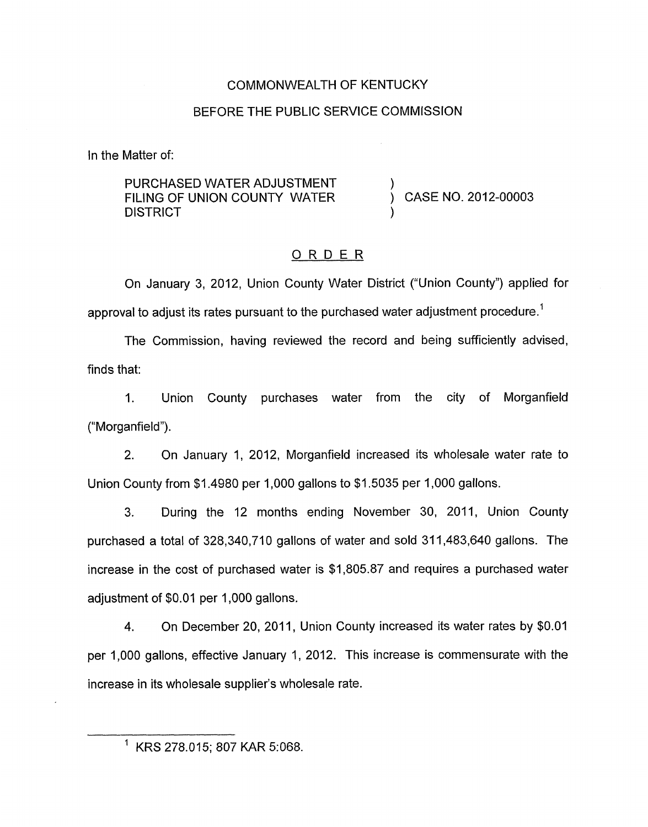# COMMONWEALTH OF KENTUCKY

## BEFORE THE PUBLIC SERVICE COMMISSION

In the Matter of:

# PURCHASED WATER ADJUSTMENT **DISTRICT** FILING OF UNION COUNTY WATER  $\overrightarrow{)}$  CASE NO. 2012-00003

# ORDER

On January 3, 2012, Union County Water District ("Union County") applied for approval to adjust its rates pursuant to the purchased water adjustment procedure.<sup>1</sup>

The Commission, having reviewed the record and being sufficiently advised, finds that:

1. Union County purchases water from the city of Morganfield ("Morganfield").

2. On January 1, 2012, Morganfield increased its wholesale water rate to Union County from \$1.4980 per 1,000 gallons to \$1 5035 per 1,000 gallons.

3. During the 12 months ending November 30, 2011, Union County purchased a total of 328,340,710 gallons of water and sold 31 1,483,640 gallons. The increase in the cost of purchased water is \$1,805.87 and requires a purchased water adjustment of \$0.01 per 1,000 gallons.

4. On December 20, 2011, Union County increased its water rates by \$0.01 per 1,000 gallons, effective January 1, 2012. This increase is commensurate with the increase in its wholesale supplier's wholesale rate.

<sup>&#</sup>x27; KRS 278.015; 807 KAR 5:068.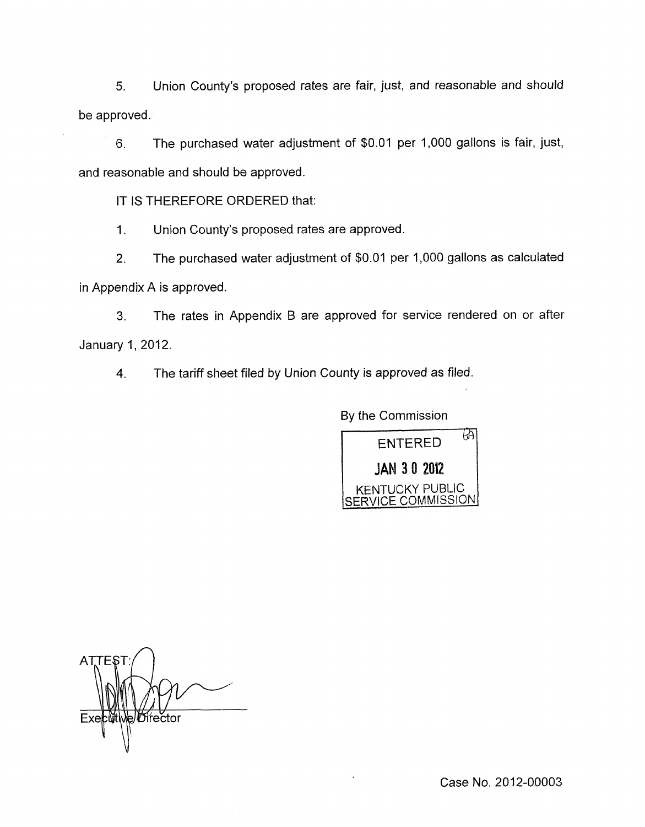*5.* Union County's proposed rates are fair, just, and reasonable and should be approved.

6. The purchased water adjustment of \$0.01 per 1,000 gallons is fair, just, and reasonable and should be approved.

IT IS THEREFORE ORDERED that:

1. Union County's proposed rates are approved.

2. The purchased water adjustment of  $$0.01$  per 1,000 gallons as calculated in Appendix A is approved.

**3.** The rates in Appendix B are approved for service rendered on or after January 1,2012.

**4.** The tariff sheet filed by Union County is approved *as* filed.

By the Commission



ATTE Director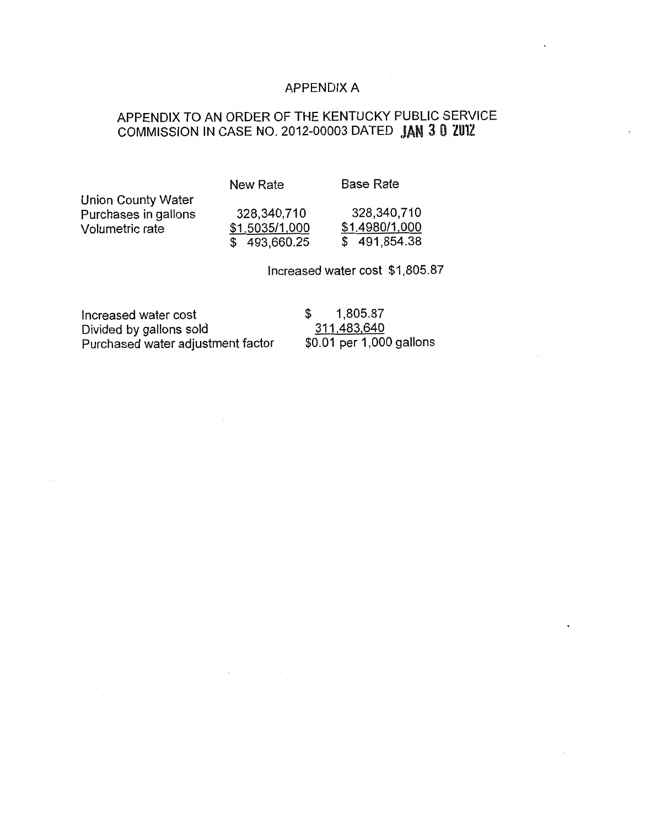## APPENDIX A

# APPENDIX TO AN ORDER OF THE KENTUCKY PUBLIC SERVICE COMMISSION IN CASE NO. 2012-00003 DATED **JAN 3 0 ZUIZ**

New Rate Base Rate

Union County Water Purchases in gallons 328,340,710 328,340,710 Volumetric rate \$1.5035/1,000 \$1.4980/1,000

 $\overline{$}$  \$ 493,660.25 \$ 491,854.38

Increased water cost \$1,805.87

Increased water cost  $$ 1,805.87$ Divided by gallons sold 311,483,640<br>Purchased water adjustment factor \$0.01 per 1,000 gallons Purchased water adjustment factor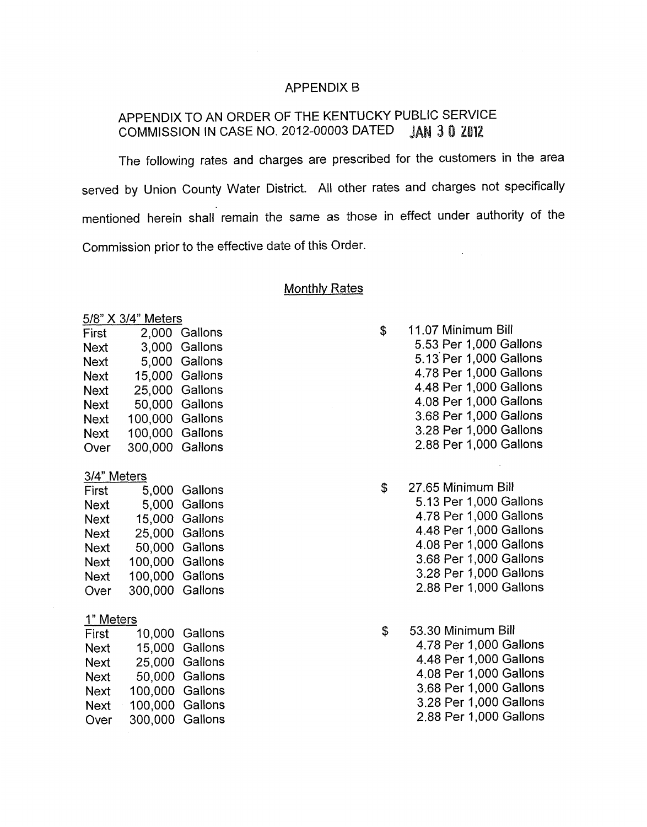#### APPENDIX B

# APPENDIX TO AN ORDER OF THE KENTUCKY PUBLIC SERVICE COMMISSION IN CASE NO. 2012-00003 DATED JAN 3 0 ZU12

The following rates and charges are prescribed for the customers in the area served by Union County Water District. All other rates and charges not specifically mentioned herein shall remain the same as those in effect under authority of the Commission prior to the effective date of this Order.

#### Monthlv Rates

| First              | 2,000   | Gallons |
|--------------------|---------|---------|
| Next               | 3,000   | Gallons |
| Next               | 5,000   | Gallons |
| Next               | 15,000  | Gallons |
| Next               | 25,000  | Gallons |
| Next               | 50,000  | Gallons |
| Next               | 100,000 | Gallons |
| Next               | 100,000 | Gallons |
| Over               | 300,000 | Gallons |
|                    |         |         |
| <u>3/4" Meters</u> |         |         |
| First              | 5,000   | Gallons |
| Next               | 5,000   | Gallons |
| Next               | 15,000  | Gallons |
| Next               | 25,000  | Gallons |
| Next               | 50,000  | Gallons |
| Next               | 100,000 | Gallons |
| Next               | 100,000 | Gallons |
| Over               | 300,000 | Gallons |
|                    |         |         |
| 1" Meters          |         |         |
| First              | 10,000  | Gallons |
| Next               | 15,000  | Gallons |
| Next               | 25,000  | Gallons |
| Next               | 50,000  | Gallons |
| Next               | 100,000 | Gallons |
| Next               | 100,000 | Gallons |
| Over               | 300,000 | Gallons |

<u>574 x 374 x 375 x 376 x 376 x 386 x 386 x 386 x 387 x 388 x 389 x 388 x 389 x 388 x 389 x 388 x 389 x 388 x 388 x 388 x 388 x 388 x 388 x 388 x 388 x 388 x 388 x 388 x 388 x 388 x 388 x 388 x 388 x 388 x 388 x 388 x 388 x</u>

- \$ 11.07 Minimum Bill 5.53 Per 1,000 Gallons 5.13' Per 1,000 Gallons 4.78 Per 1,000 Gallons 4.48 Per 1,000 Gallons 4.08 Per 1,000 Gallons 3.68 Per 1,000 Gallons 3.28 Per 1,000 Gallons 2.88 Per 1,000 Gallons
- \$ 27.65 Minimum Bill 5.13 Per 1,000 Gallons 4.78 Per 1,000 Gallons 4.48 Per 1,000 Gallons 4.08 Per 1,000 Gallons 3.68 Per 1,000 Gallons 3.28 Per 1,000 Gallons 2.88 Per 1,000 Gallons
- \$ 53.30 Minimum Bill 4.78 Per 1,000 Gallons 4.48 Per 1,000 Gallons 4.08 Per 1,000 Gallons 3.68 Per 1,000 Gallons 3.28 Per 1,000 Gallons 2.88 Per 1,000 Gallons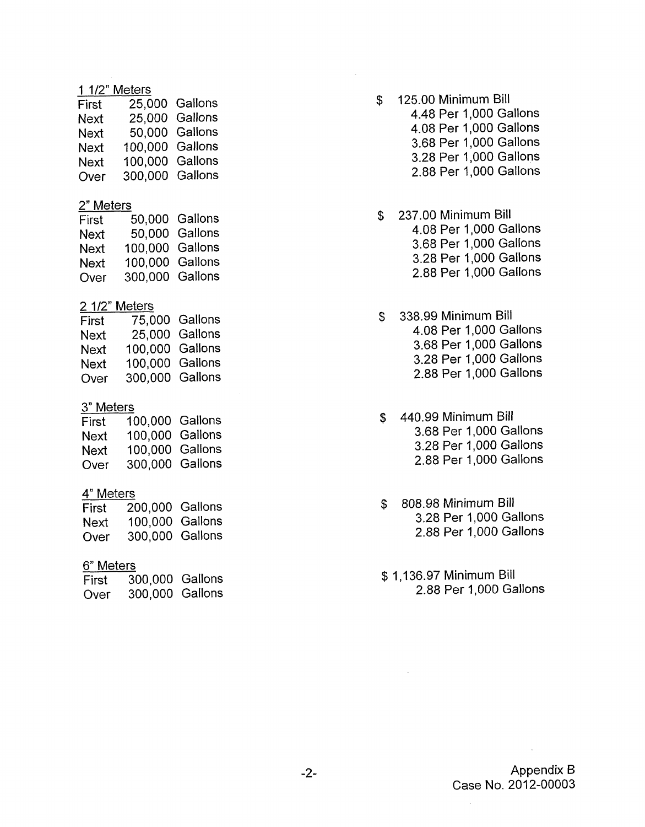### 1 1/2" Meters

| 25,000 Gallons                                        |
|-------------------------------------------------------|
| 25,000 Gallons                                        |
| 50,000 Gallons                                        |
|                                                       |
|                                                       |
|                                                       |
| 100,000 Gallons<br>100,000 Gallons<br>300,000 Gallons |

#### 2" Meters

| First |                 | 50,000 Gallons |
|-------|-----------------|----------------|
| Next  |                 | 50,000 Gallons |
| Next  | 100,000 Gallons |                |
| Next  | 100,000 Gallons |                |
| Over  | 300,000 Gallons |                |

## 2 1/2" Meters

| 75,000 Gallons                                        |
|-------------------------------------------------------|
| 25,000 Gallons                                        |
|                                                       |
|                                                       |
|                                                       |
| 100.000 Gallons<br>100,000 Gallons<br>300,000 Gallons |

### 3" Meters

| First | 100,000 Gallons |  |
|-------|-----------------|--|
| Next  | 100,000 Gallons |  |
| Next  | 100,000 Gallons |  |
| Over  | 300,000 Gallons |  |

# 4" Meters

| First | 200,000 Gallons |  |
|-------|-----------------|--|
| Next  | 100,000 Gallons |  |
| Over  | 300,000 Gallons |  |

## 6" Meters

| First | 300,000 Gallons |  |
|-------|-----------------|--|
| Over  | 300,000 Gallons |  |

- \$ 125.00 Minimum Bill 4.48 Per 1,000 Gallons 4.08 Per 1,000 Gallons 3.68 Per 1,000 Gallons 3.28 Per 1,000 Gallons 2.88 Per 1,000 Gallons
- \$ 237.00 Minimum Bill 4.08 Per 1,000 Gallons 3.68 Per 1,000 Gallons 3.28 Per 1,000 Gallons 2.88 Per 1,000 Gallons
- \$ 338.99 Minimum Bill 4.08 Per 1,000 Gallons 3.68 Per 1,000 Gallons 3.28 Per 1,000 Gallons 2.88 Per 1,000 Gallons
- \$ 440.99 Minimum Bill 3.68 Per 1,000 Gallons 3.28 Per 1,000 Gallons 2.88 Per 1,000 Gallons
- \$ 808.98 Minimum Bill 3.28 Per 1,000 Gallons 2.88 Per 1,000 Gallons
- \$ 1,136.97 Minimum Bill 2.88 Per 1,000 Gallons

 $\mathcal{L}_{\mathcal{L}}$